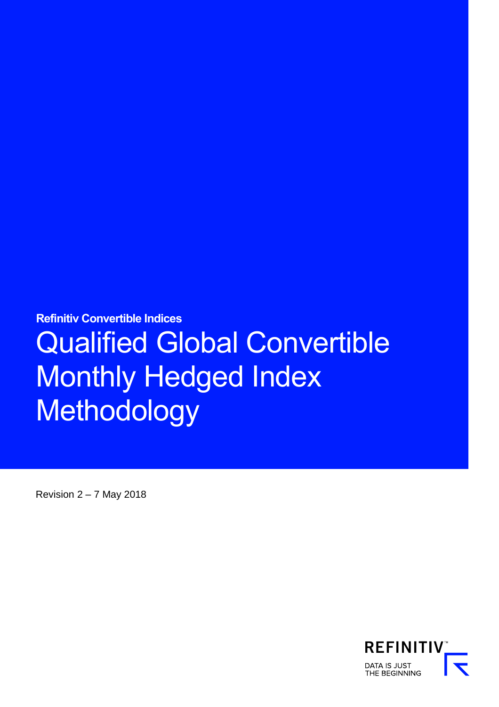**Refinitiv Convertible Indices** 

# Qualified Global Convertible Monthly Hedged Index **Methodology**

Revision  $2 - 7$  May 2018

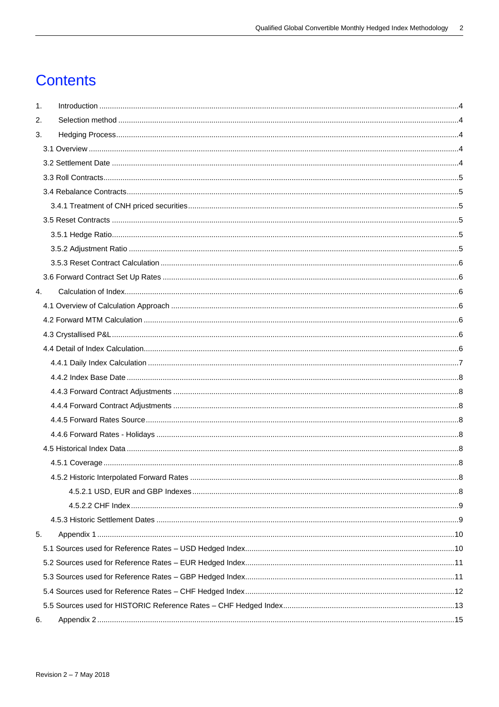# **Contents**

| $\mathbf{1}$ . |  |
|----------------|--|
| 2.             |  |
| 3.             |  |
|                |  |
|                |  |
|                |  |
|                |  |
|                |  |
|                |  |
|                |  |
|                |  |
|                |  |
|                |  |
| 4.             |  |
|                |  |
|                |  |
|                |  |
|                |  |
|                |  |
|                |  |
|                |  |
|                |  |
|                |  |
|                |  |
|                |  |
|                |  |
|                |  |
|                |  |
|                |  |
|                |  |
| 5.             |  |
|                |  |
|                |  |
|                |  |
|                |  |
|                |  |
| 6.             |  |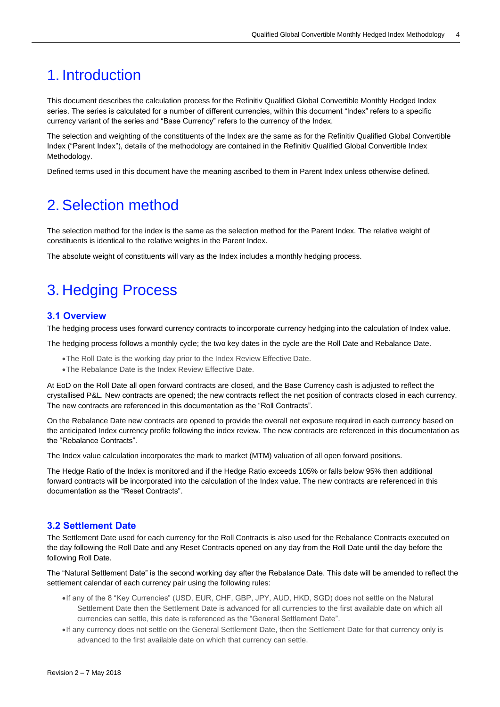# <span id="page-3-0"></span>1. Introduction

This document describes the calculation process for the Refinitiv Qualified Global Convertible Monthly Hedged Index series. The series is calculated for a number of different currencies, within this document "Index" refers to a specific currency variant of the series and "Base Currency" refers to the currency of the Index.

The selection and weighting of the constituents of the Index are the same as for the Refinitiv Qualified Global Convertible Index ("Parent Index"), details of the methodology are contained in the Refinitiv Qualified Global Convertible Index Methodology.

Defined terms used in this document have the meaning ascribed to them in Parent Index unless otherwise defined.

## <span id="page-3-1"></span>2. Selection method

The selection method for the index is the same as the selection method for the Parent Index. The relative weight of constituents is identical to the relative weights in the Parent Index.

The absolute weight of constituents will vary as the Index includes a monthly hedging process.

# <span id="page-3-2"></span>3. Hedging Process

#### <span id="page-3-3"></span>**3.1 Overview**

The hedging process uses forward currency contracts to incorporate currency hedging into the calculation of Index value.

The hedging process follows a monthly cycle; the two key dates in the cycle are the Roll Date and Rebalance Date.

- •The Roll Date is the working day prior to the Index Review Effective Date.
- •The Rebalance Date is the Index Review Effective Date.

At EoD on the Roll Date all open forward contracts are closed, and the Base Currency cash is adjusted to reflect the crystallised P&L. New contracts are opened; the new contracts reflect the net position of contracts closed in each currency. The new contracts are referenced in this documentation as the "Roll Contracts".

On the Rebalance Date new contracts are opened to provide the overall net exposure required in each currency based on the anticipated Index currency profile following the index review. The new contracts are referenced in this documentation as the "Rebalance Contracts".

The Index value calculation incorporates the mark to market (MTM) valuation of all open forward positions.

The Hedge Ratio of the Index is monitored and if the Hedge Ratio exceeds 105% or falls below 95% then additional forward contracts will be incorporated into the calculation of the Index value. The new contracts are referenced in this documentation as the "Reset Contracts".

#### <span id="page-3-4"></span>**3.2 Settlement Date**

The Settlement Date used for each currency for the Roll Contracts is also used for the Rebalance Contracts executed on the day following the Roll Date and any Reset Contracts opened on any day from the Roll Date until the day before the following Roll Date.

The "Natural Settlement Date" is the second working day after the Rebalance Date. This date will be amended to reflect the settlement calendar of each currency pair using the following rules:

- •If any of the 8 "Key Currencies" (USD, EUR, CHF, GBP, JPY, AUD, HKD, SGD) does not settle on the Natural Settlement Date then the Settlement Date is advanced for all currencies to the first available date on which all currencies can settle, this date is referenced as the "General Settlement Date".
- •If any currency does not settle on the General Settlement Date, then the Settlement Date for that currency only is advanced to the first available date on which that currency can settle.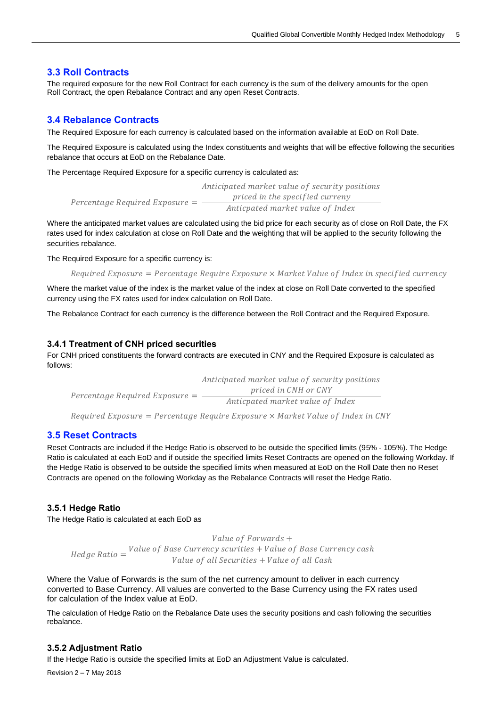#### <span id="page-4-0"></span>**3.3 Roll Contracts**

The required exposure for the new Roll Contract for each currency is the sum of the delivery amounts for the open Roll Contract, the open Rebalance Contract and any open Reset Contracts.

#### <span id="page-4-1"></span>**3.4 Rebalance Contracts**

The Required Exposure for each currency is calculated based on the information available at EoD on Roll Date.

The Required Exposure is calculated using the Index constituents and weights that will be effective following the securities rebalance that occurs at EoD on the Rebalance Date.

The Percentage Required Exposure for a specific currency is calculated as:

Percentage Required Exposure  $=$   $-$ Anticipated market value of security positions priced in the specified curreny Anticpated market value of Index

Where the anticipated market values are calculated using the bid price for each security as of close on Roll Date, the FX rates used for index calculation at close on Roll Date and the weighting that will be applied to the security following the securities rebalance.

The Required Exposure for a specific currency is:

Required Exposure = Percentage Require Exposure  $\times$  Market Value of Index in specified currency

Where the market value of the index is the market value of the index at close on Roll Date converted to the specified currency using the FX rates used for index calculation on Roll Date.

The Rebalance Contract for each currency is the difference between the Roll Contract and the Required Exposure.

#### <span id="page-4-2"></span>**3.4.1 Treatment of CNH priced securities**

For CNH priced constituents the forward contracts are executed in CNY and the Required Exposure is calculated as follows:

Percentage Required Exposure  $=\frac{p\cdot p\cdot \text{pred in CNH or CNY}}{A\cdot p\cdot \text{pred in CNH of }\frac{p\cdot p\cdot \text{pred in CNH}}{A\cdot p\cdot \text{pred in CNH of }\frac{p\cdot p\cdot \text{pred in CNH}}{A\cdot p\cdot \text{pred in CNH of }\frac{p\cdot \text{pred in CNH}}{A\cdot p\cdot \text{pred in CNH of }\frac{p\cdot \text{pred in CNH}}{A\cdot p\cdot \text{pred in CNH of }\frac{p\cdot \text{pred in CNH}}{A\cdot p\cdot \text{pred in CNH of }\frac{p\$ Anticipated market value of security positions Anticpated market value of Index

Required Exposure =  $Percentage$  Require Exposure  $\times$  Market Value of Index in CNY

#### <span id="page-4-3"></span>**3.5 Reset Contracts**

Reset Contracts are included if the Hedge Ratio is observed to be outside the specified limits (95% - 105%). The Hedge Ratio is calculated at each EoD and if outside the specified limits Reset Contracts are opened on the following Workday. If the Hedge Ratio is observed to be outside the specified limits when measured at EoD on the Roll Date then no Reset Contracts are opened on the following Workday as the Rebalance Contracts will reset the Hedge Ratio.

#### <span id="page-4-4"></span>**3.5.1 Hedge Ratio**

The Hedge Ratio is calculated at each EoD as

Hedge Ratio  $=\frac{Value\ of\ Base\ Current\ securities + Value\ of\ Base\ Current\ cash}{Value\ of\ all\ C\ sc\ with\ total\ A\ L\ C\ sc}$ Value of Forwards + Value of all Securities + Value of all Cash

Where the Value of Forwards is the sum of the net currency amount to deliver in each currency converted to Base Currency. All values are converted to the Base Currency using the FX rates used for calculation of the Index value at EoD.

The calculation of Hedge Ratio on the Rebalance Date uses the security positions and cash following the securities rebalance.

#### <span id="page-4-5"></span>**3.5.2 Adjustment Ratio**

If the Hedge Ratio is outside the specified limits at EoD an Adjustment Value is calculated.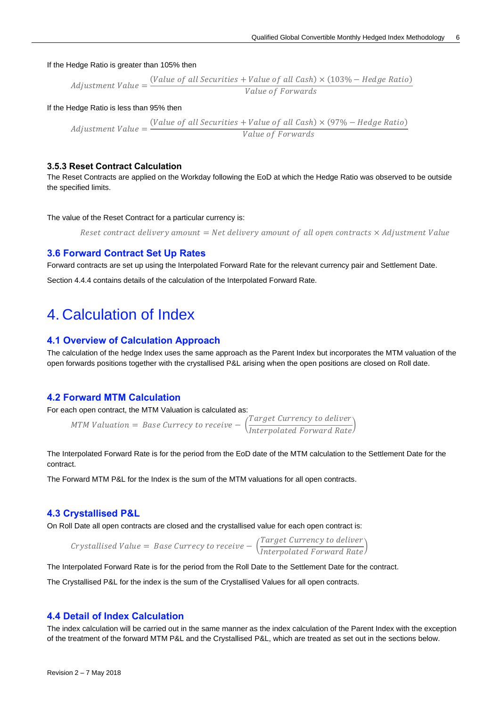If the Hedge Ratio is greater than 105% then

*Adjustment Value* = 
$$
\frac{(Value\ of\ all\ Securities + Value\ of\ all\ Cash) \times (103\% - Hedge\ Ratio)}{Value\ of\ Forwards}
$$

If the Hedge Ratio is less than 95% then

 $\Delta$ Adjustment Value =  $\frac{(Value\ of\ all\ Securities\ +\ Value\ of\ all\ Cash)\times(97\% -\ Hedge Ratio)}{Value\ of\ Examples}$ Value of Forwards

#### <span id="page-5-0"></span>**3.5.3 Reset Contract Calculation**

The Reset Contracts are applied on the Workday following the EoD at which the Hedge Ratio was observed to be outside the specified limits.

The value of the Reset Contract for a particular currency is:

Reset contract delivery amount = Net delivery amount of all open contracts  $\times$  Adjustment Value

#### <span id="page-5-1"></span>**3.6 Forward Contract Set Up Rates**

Forward contracts are set up using the Interpolated Forward Rate for the relevant currency pair and Settlement Date.

Sectio[n 4.4.4 c](#page-7-9)ontains details of the calculation of the Interpolated Forward Rate.

### <span id="page-5-2"></span>4. Calculation of Index

#### <span id="page-5-3"></span>**4.1 Overview of Calculation Approach**

The calculation of the hedge Index uses the same approach as the Parent Index but incorporates the MTM valuation of the open forwards positions together with the crystallised P&L arising when the open positions are closed on Roll date.

#### <span id="page-5-4"></span>**4.2 Forward MTM Calculation**

For each open contract, the MTM Valuation is calculated as:

MTM Valuation = Base Currecy to receive  $-\left(\frac{Target\ Current\times\text{C}}{Interpolated\ Forward\ Rate}\right)$ 

The Interpolated Forward Rate is for the period from the EoD date of the MTM calculation to the Settlement Date for the contract.

The Forward MTM P&L for the Index is the sum of the MTM valuations for all open contracts.

#### <span id="page-5-5"></span>**4.3 Crystallised P&L**

On Roll Date all open contracts are closed and the crystallised value for each open contract is:

Crystallised Value = Base Currecy to receive  $-\left(\frac{Target\;Current}{Interpolated\;Forward\;Rate}\right)$ 

The Interpolated Forward Rate is for the period from the Roll Date to the Settlement Date for the contract.

The Crystallised P&L for the index is the sum of the Crystallised Values for all open contracts.

#### <span id="page-5-6"></span>**4.4 Detail of Index Calculation**

The index calculation will be carried out in the same manner as the index calculation of the Parent Index with the exception of the treatment of the forward MTM P&L and the Crystallised P&L, which are treated as set out in the sections below.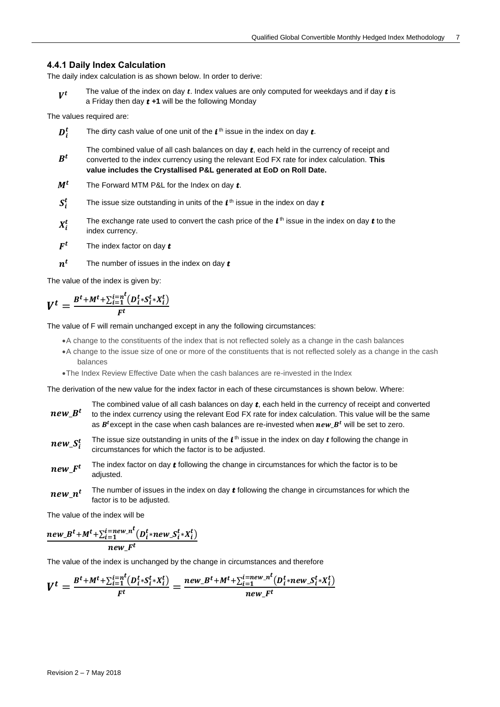#### <span id="page-6-0"></span>**4.4.1 Daily Index Calculation**

The daily index calculation is as shown below. In order to derive:

 $V^t$ The value of the index on day  $t$ . Index values are only computed for weekdays and if day  $t$  is a Friday then day  $t + 1$  will be the following Monday

The values required are:

- $D_i^t$  $\frac{t}{i}$  The dirty cash value of one unit of the  $t^{\text{th}}$  issue in the index on day  $t$ .
- $B^t$ The combined value of all cash balances on day  $t$ , each held in the currency of receipt and converted to the index currency using the relevant Eod FX rate for index calculation. **This value includes the Crystallised P&L generated at EoD on Roll Date.**
- $M<sup>t</sup>$  The Forward MTM P&L for the Index on day  $t$ .
- $S_i^t$  $\frac{t}{t}$  The issue size outstanding in units of the  $t$ <sup>th</sup> issue in the index on day  $t$
- $X_i^t$  $t$  The exchange rate used to convert the cash price of the  $t$ <sup>th</sup> issue in the index on day  $t$  to the index currency.
- $F^t$ The index factor on day  $t$
- $n^t$ The number of issues in the index on day  $t$

The value of the index is given by:

$$
V^t = \frac{B^t + M^t + \sum_{i=1}^{i=n^t} (D_i^t * S_i^t * X_i^t)}{F^t}
$$

The value of F will remain unchanged except in any the following circumstances:

- •A change to the constituents of the index that is not reflected solely as a change in the cash balances
- •A change to the issue size of one or more of the constituents that is not reflected solely as a change in the cash balances
- •The Index Review Effective Date when the cash balances are re-invested in the Index

The derivation of the new value for the index factor in each of these circumstances is shown below. Where:

- $\bm{n} \bm{e} \bm{w}$ \_ $\bm{B}^t$ The combined value of all cash balances on day  $t$ , each held in the currency of receipt and converted to the index currency using the relevant Eod FX rate for index calculation. This value will be the same as  $B<sup>t</sup>$  except in the case when cash balances are re-invested when  $new B<sup>t</sup>$  will be set to zero.
- $new\_S_i^t$  $_t$  The issue size outstanding in units of the  $\bm{l}^{\text{th}}$  issue in the index on day  $\bm{t}$  following the change in circumstances for which the factor is to be adjusted.
- $newF<sup>t</sup>$ The index factor on day  $t$  following the change in circumstances for which the factor is to be adiusted.
- new  $n^t$ The number of issues in the index on day  $t$  following the change in circumstances for which the factor is to be adjusted.

The value of the index will be

$$
\frac{new\_B^t + M^t + \sum_{i=1}^{i=new\_n^t} (D_i^t * new\_S_i^t * X_i^t)}{new\_F^t}
$$

The value of the index is unchanged by the change in circumstances and therefore

$$
V^{t} = \frac{B^{t} + M^{t} + \sum_{i=1}^{i=n} (D_{i}^{t} * S_{i}^{t} * X_{i}^{t})}{F^{t}} = \frac{new_{-}B^{t} + M^{t} + \sum_{i=1}^{i=new_{-}n} (D_{i}^{t} * new_{-}S_{i}^{t} * X_{i}^{t})}{new_{-}F^{t}}
$$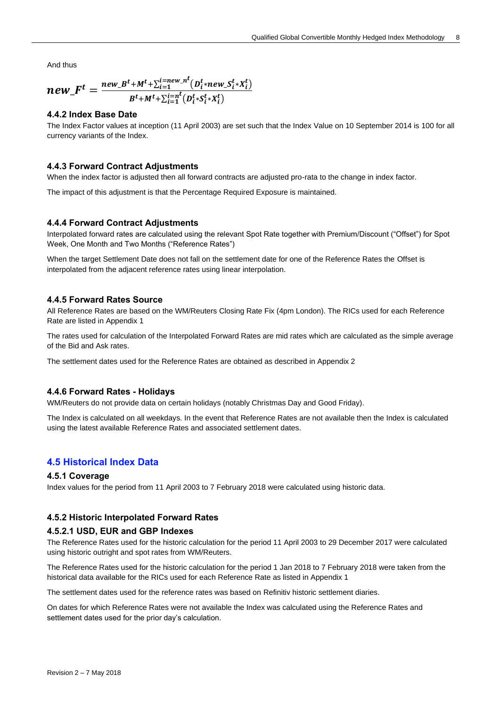And thus

$$
new\_F^t = \frac{new\_B^t + M^t + \sum_{i=1}^{i = new\_n} (D_i^t * new\_S_i^t * X_i^t)}{B^t + M^t + \sum_{i=1}^{i = n} (D_i^t * S_i^t * X_i^t)}
$$

#### <span id="page-7-0"></span>**4.4.2 Index Base Date**

The Index Factor values at inception (11 April 2003) are set such that the Index Value on 10 September 2014 is 100 for all currency variants of the Index.

#### <span id="page-7-1"></span>**4.4.3 Forward Contract Adjustments**

When the index factor is adjusted then all forward contracts are adjusted pro-rata to the change in index factor.

The impact of this adjustment is that the Percentage Required Exposure is maintained.

#### <span id="page-7-2"></span>**4.4.4 Forward Contract Adjustments**

<span id="page-7-9"></span>Interpolated forward rates are calculated using the relevant Spot Rate together with Premium/Discount ("Offset") for Spot Week, One Month and Two Months ("Reference Rates")

When the target Settlement Date does not fall on the settlement date for one of the Reference Rates the Offset is interpolated from the adjacent reference rates using linear interpolation.

#### <span id="page-7-3"></span>**4.4.5 Forward Rates Source**

All Reference Rates are based on the WM/Reuters Closing Rate Fix (4pm London). The RICs used for each Reference Rate are listed in Appendix 1

The rates used for calculation of the Interpolated Forward Rates are mid rates which are calculated as the simple average of the Bid and Ask rates.

The settlement dates used for the Reference Rates are obtained as described in Appendix 2

#### <span id="page-7-4"></span>**4.4.6 Forward Rates - Holidays**

WM/Reuters do not provide data on certain holidays (notably Christmas Day and Good Friday).

The Index is calculated on all weekdays. In the event that Reference Rates are not available then the Index is calculated using the latest available Reference Rates and associated settlement dates.

#### <span id="page-7-5"></span>**4.5 Historical Index Data**

#### <span id="page-7-6"></span>**4.5.1 Coverage**

Index values for the period from 11 April 2003 to 7 February 2018 were calculated using historic data.

#### <span id="page-7-7"></span>**4.5.2 Historic Interpolated Forward Rates**

#### <span id="page-7-8"></span>**4.5.2.1 USD, EUR and GBP Indexes**

The Reference Rates used for the historic calculation for the period 11 April 2003 to 29 December 2017 were calculated using historic outright and spot rates from WM/Reuters.

The Reference Rates used for the historic calculation for the period 1 Jan 2018 to 7 February 2018 were taken from the historical data available for the RICs used for each Reference Rate as listed in Appendix 1

The settlement dates used for the reference rates was based on Refinitiv historic settlement diaries.

On dates for which Reference Rates were not available the Index was calculated using the Reference Rates and settlement dates used for the prior day's calculation.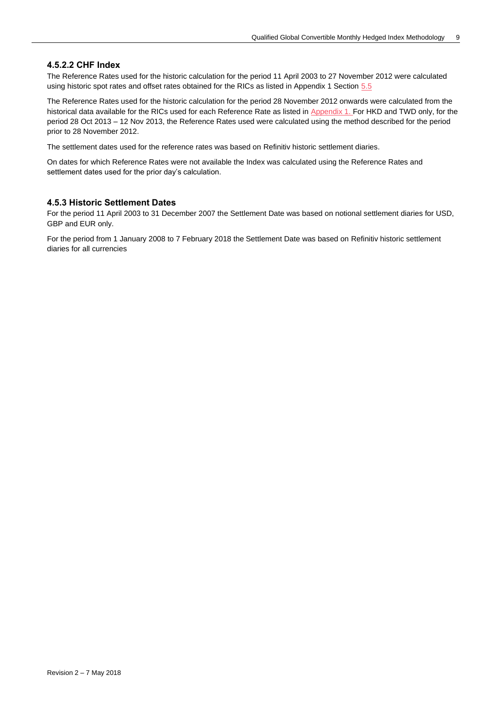#### <span id="page-8-0"></span>**4.5.2.2 CHF Index**

The Reference Rates used for the historic calculation for the period 11 April 2003 to 27 November 2012 were calculated using historic spot rates and offset rates obtained for the RICs as listed in Appendix 1 Section 5.5

The Reference Rates used for the historic calculation for the period 28 November 2012 onwards were calculated from the historical data available for the RICs used for each Reference Rate as listed in Appendix 1. For HKD and TWD only, for the period 28 Oct 2013 – 12 Nov 2013, the Reference Rates used were calculated using the method described for the period prior to 28 November 2012.

The settlement dates used for the reference rates was based on Refinitiv historic settlement diaries.

On dates for which Reference Rates were not available the Index was calculated using the Reference Rates and settlement dates used for the prior day's calculation.

#### <span id="page-8-1"></span>**4.5.3 Historic Settlement Dates**

For the period 11 April 2003 to 31 December 2007 the Settlement Date was based on notional settlement diaries for USD, GBP and EUR only.

For the period from 1 January 2008 to 7 February 2018 the Settlement Date was based on Refinitiv historic settlement diaries for all currencies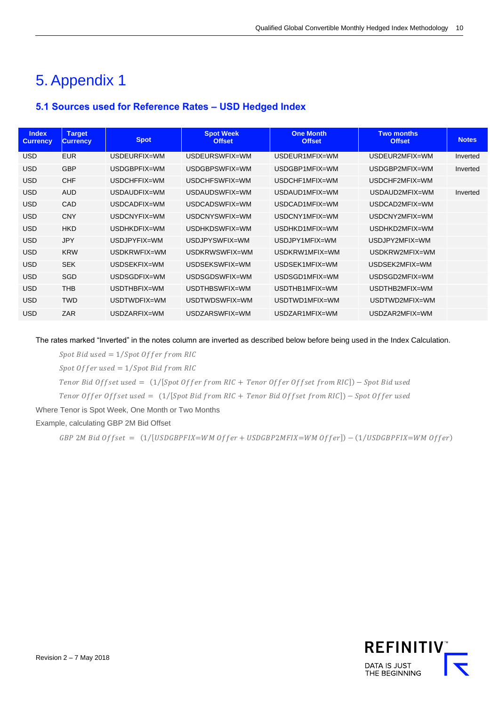# <span id="page-9-0"></span>5. Appendix 1

### <span id="page-9-1"></span>**5.1 Sources used for Reference Rates – USD Hedged Index**

| <b>Index</b><br><b>Currency</b> | <b>Target</b><br><b>Currency</b> | <b>Spot</b>  | <b>Spot Week</b><br><b>Offset</b> | <b>One Month</b><br><b>Offset</b> | <b>Two months</b><br><b>Offset</b> | <b>Notes</b> |
|---------------------------------|----------------------------------|--------------|-----------------------------------|-----------------------------------|------------------------------------|--------------|
| <b>USD</b>                      | <b>EUR</b>                       | USDEUREIX=WM | USDEURSWEIX=WM                    | USDEUR1MEIX=WM                    | USDEUR2MEIX=WM                     | Inverted     |
| <b>USD</b>                      | <b>GBP</b>                       | USDGBPFIX=WM | USDGBPSWFIX=WM                    | USDGBP1MFIX=WM                    | USDGBP2MFIX=WM                     | Inverted     |
| <b>USD</b>                      | <b>CHF</b>                       | USDCHFFIX=WM | USDCHFSWFIX=WM                    | USDCHF1MFIX=WM                    | USDCHF2MFIX=WM                     |              |
| <b>USD</b>                      | <b>AUD</b>                       | USDAUDFIX=WM | USDAUDSWEIX=WM                    | USDAUD1MFIX=WM                    | USDAUD2MFIX=WM                     | Inverted     |
| <b>USD</b>                      | CAD                              | USDCADFIX=WM | USDCADSWFIX=WM                    | USDCAD1MFIX=WM                    | USDCAD2MFIX=WM                     |              |
| <b>USD</b>                      | <b>CNY</b>                       | USDCNYFIX=WM | USDCNYSWFIX=WM                    | USDCNY1MFIX=WM                    | USDCNY2MFIX=WM                     |              |
| <b>USD</b>                      | <b>HKD</b>                       | USDHKDFIX=WM | USDHKDSWFIX=WM                    | USDHKD1MFIX=WM                    | USDHKD2MFIX=WM                     |              |
| <b>USD</b>                      | <b>JPY</b>                       | USDJPYFIX=WM | USDJPYSWFIX=WM                    | USDJPY1MFIX=WM                    | USDJPY2MFIX=WM                     |              |
| <b>USD</b>                      | <b>KRW</b>                       | USDKRWFIX=WM | USDKRWSWFIX=WM                    | USDKRW1MFIX=WM                    | USDKRW2MFIX=WM                     |              |
| <b>USD</b>                      | <b>SEK</b>                       | USDSEKFIX=WM | USDSEKSWFIX=WM                    | USDSEK1MFIX=WM                    | USDSEK2MFIX=WM                     |              |
| <b>USD</b>                      | <b>SGD</b>                       | USDSGDFIX=WM | USDSGDSWFIX=WM                    | USDSGD1MFIX=WM                    | USDSGD2MFIX=WM                     |              |
| <b>USD</b>                      | <b>THB</b>                       | USDTHBFIX=WM | USDTHBSWFIX=WM                    | USDTHB1MFIX=WM                    | USDTHB2MFIX=WM                     |              |
| <b>USD</b>                      | <b>TWD</b>                       | USDTWDFIX=WM | USDTWDSWFIX=WM                    | USDTWD1MFIX=WM                    | USDTWD2MFIX=WM                     |              |
| <b>USD</b>                      | <b>ZAR</b>                       | USDZARFIX=WM | USDZARSWFIX=WM                    | USDZAR1MFIX=WM                    | USDZAR2MFIX=WM                     |              |

The rates marked "Inverted" in the notes column are inverted as described below before being used in the Index Calculation.

Spot Bid used =  $1/Spot$  Offer from RIC

Spot Offer used =  $1/Spot$  Bid from RIC

Tenor Bid Offset used =  $(1/[Spot\; Offer\; from\; RIC + Tenor\; Offer\; Offset\; from\; RIC]) - Spot\; Bid\; used$ 

Tenor Offer Offset used =  $(1/[Spot Bid from RIC + Tenor Bid Offset from RIC]) - Spot Offer used$ 

Where Tenor is Spot Week, One Month or Two Months

Example, calculating GBP 2M Bid Offset

GBP 2M Bid Offset =  $(1/[USDGPFIX=WM\;Offer + USDGBP2MFIX=WM\;Offer] - (1/USDGBPFIX=WM\;Offer)$ 

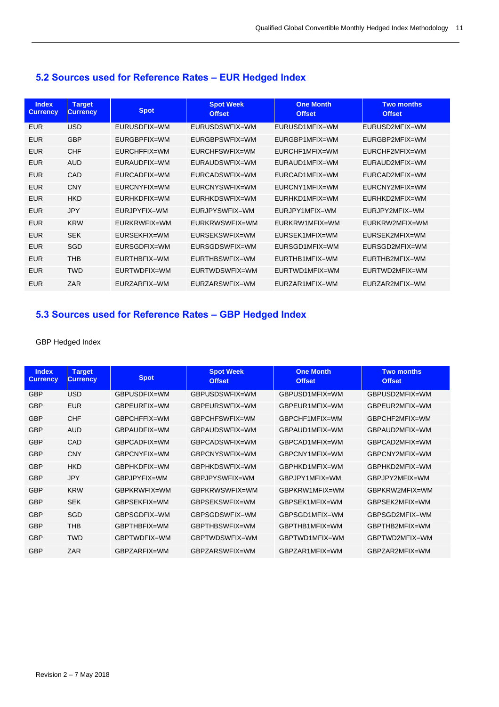### <span id="page-10-0"></span>**5.2 Sources used for Reference Rates – EUR Hedged Index**

| <b>Index</b><br><b>Currency</b> | <b>Target</b><br><b>Currency</b> | <b>Spot</b>  | <b>Spot Week</b><br><b>Offset</b> | <b>One Month</b><br><b>Offset</b> | <b>Two months</b><br><b>Offset</b> |
|---------------------------------|----------------------------------|--------------|-----------------------------------|-----------------------------------|------------------------------------|
| <b>EUR</b>                      | <b>USD</b>                       | EURUSDFIX=WM | EURUSDSWFIX=WM                    | EURUSD1MFIX=WM                    | EURUSD2MFIX=WM                     |
| <b>EUR</b>                      | <b>GBP</b>                       | EURGBPFIX=WM | EURGBPSWFIX=WM                    | EURGBP1MFIX=WM                    | EURGBP2MFIX=WM                     |
| <b>EUR</b>                      | <b>CHF</b>                       | EURCHFFIX=WM | EURCHFSWFIX=WM                    | EURCHF1MFIX=WM                    | EURCHF2MFIX=WM                     |
| <b>EUR</b>                      | <b>AUD</b>                       | EURAUDFIX=WM | EURAUDSWFIX=WM                    | FURAUD1MFIX=WM                    | FURAUD2MFIX=WM                     |
| <b>EUR</b>                      | CAD                              | EURCADFIX=WM | EURCADSWFIX=WM                    | EURCAD1MFIX=WM                    | EURCAD2MFIX=WM                     |
| <b>EUR</b>                      | <b>CNY</b>                       | EURCNYFIX=WM | EURCNYSWFIX=WM                    | EURCNY1MFIX=WM                    | EURCNY2MFIX=WM                     |
| <b>EUR</b>                      | <b>HKD</b>                       | EURHKDFIX=WM | FURHKDSWFIX=WM                    | FURHKD1MFIX=WM                    | FURHKD2MFIX=WM                     |
| <b>EUR</b>                      | <b>JPY</b>                       | EURJPYFIX=WM | EURJPYSWFIX=WM                    | EURJPY1MFIX=WM                    | EURJPY2MFIX=WM                     |
| <b>EUR</b>                      | <b>KRW</b>                       | EURKRWFIX=WM | EURKRWSWFIX=WM                    | EURKRW1MFIX=WM                    | EURKRW2MFIX=WM                     |
| <b>EUR</b>                      | <b>SEK</b>                       | EURSEKFIX=WM | EURSEKSWFIX=WM                    | FURSEK1MFIX=WM                    | EURSEK2MFIX=WM                     |
| <b>EUR</b>                      | <b>SGD</b>                       | EURSGDFIX=WM | EURSGDSWFIX=WM                    | EURSGD1MFIX=WM                    | EURSGD2MFIX=WM                     |
| <b>EUR</b>                      | <b>THB</b>                       | EURTHBFIX=WM | EURTHBSWFIX=WM                    | EURTHB1MFIX=WM                    | EURTHB2MFIX=WM                     |
| <b>EUR</b>                      | <b>TWD</b>                       | EURTWDFIX=WM | EURTWDSWFIX=WM                    | EURTWD1MFIX=WM                    | EURTWD2MFIX=WM                     |
| <b>EUR</b>                      | ZAR                              | EURZARFIX=WM | EURZARSWFIX=WM                    | EURZAR1MFIX=WM                    | EURZAR2MFIX=WM                     |

### <span id="page-10-1"></span>**5.3 Sources used for Reference Rates – GBP Hedged Index**

#### GBP Hedged Index

| <b>Index</b><br><b>Currency</b> | <b>Target</b><br><b>Currency</b> | <b>Spot</b>  | <b>Spot Week</b><br><b>Offset</b> | <b>One Month</b><br><b>Offset</b> | <b>Two months</b><br><b>Offset</b> |
|---------------------------------|----------------------------------|--------------|-----------------------------------|-----------------------------------|------------------------------------|
| <b>GBP</b>                      | <b>USD</b>                       | GBPUSDFIX=WM | GBPUSDSWFIX=WM                    | GBPUSD1MFIX=WM                    | GBPUSD2MFIX=WM                     |
| <b>GBP</b>                      | <b>EUR</b>                       | GBPEURFIX=WM | GBPEURSWFIX=WM                    | GBPFUR1MFIX=WM                    | GBPEUR2MFIX=WM                     |
| <b>GBP</b>                      | <b>CHF</b>                       | GBPCHFFIX=WM | GBPCHFSWFIX=WM                    | GBPCHF1MFIX=WM                    | GBPCHF2MFIX=WM                     |
| <b>GBP</b>                      | <b>AUD</b>                       | GBPAUDFIX=WM | GBPAUDSWFIX=WM                    | GBPAUD1MFIX=WM                    | GBPAUD2MFIX=WM                     |
| <b>GBP</b>                      | CAD                              | GBPCADFIX=WM | GBPCADSWFIX=WM                    | GBPCAD1MFIX=WM                    | GBPCAD2MFIX=WM                     |
| <b>GBP</b>                      | <b>CNY</b>                       | GBPCNYFIX=WM | GBPCNYSWFIX=WM                    | GBPCNY1MFIX=WM                    | GBPCNY2MFIX=WM                     |
| <b>GBP</b>                      | <b>HKD</b>                       | GBPHKDFIX=WM | GBPHKDSWFIX=WM                    | GBPHKD1MFIX=WM                    | GBPHKD2MFIX=WM                     |
| <b>GBP</b>                      | <b>JPY</b>                       | GBPJPYFIX=WM | GBPJPYSWFIX=WM                    | GBPJPY1MFIX=WM                    | GBPJPY2MFIX=WM                     |
| <b>GBP</b>                      | <b>KRW</b>                       | GBPKRWFIX=WM | GBPKRWSWFIX=WM                    | GBPKRW1MFIX=WM                    | GBPKRW2MFIX=WM                     |
| <b>GBP</b>                      | <b>SEK</b>                       | GBPSFKFIX=WM | GBPSEKSWFIX=WM                    | GBPSFK1MFIX=WM                    | GBPSEK2MFIX=WM                     |
| <b>GBP</b>                      | SGD                              | GBPSGDFIX=WM | GBPSGDSWFIX=WM                    | GBPSGD1MFIX=WM                    | GBPSGD2MFIX=WM                     |
| <b>GBP</b>                      | <b>THB</b>                       | GBPTHBFIX=WM | GBPTHBSWFIX=WM                    | GBPTHB1MFIX=WM                    | GBPTHB2MFIX=WM                     |
| <b>GBP</b>                      | <b>TWD</b>                       | GBPTWDFIX=WM | GBPTWDSWFIX=WM                    | GBPTWD1MFIX=WM                    | GBPTWD2MFIX=WM                     |
| <b>GBP</b>                      | ZAR                              | GBPZARFIX=WM | GBPZARSWFIX=WM                    | GBPZAR1MFIX=WM                    | GBPZAR2MFIX=WM                     |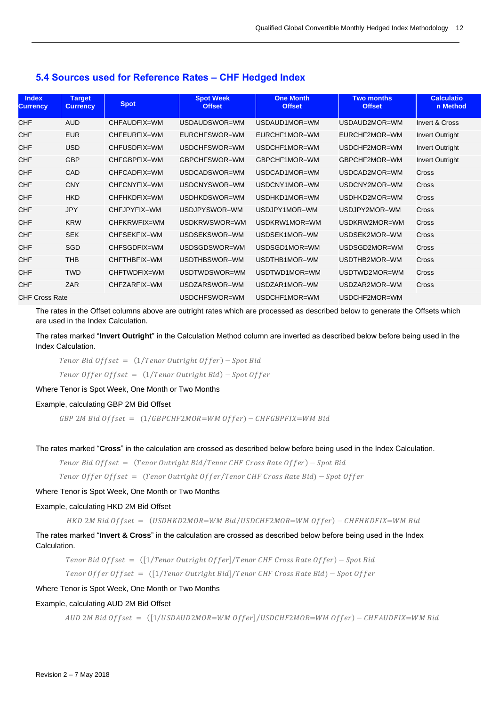#### <span id="page-11-0"></span>**5.4 Sources used for Reference Rates – CHF Hedged Index**

| <b>Index</b><br><b>Currency</b> | <b>Target</b><br><b>Currency</b> | <b>Spot</b>  | <b>Spot Week</b><br><b>Offset</b> | <b>One Month</b><br><b>Offset</b> | <b>Two months</b><br><b>Offset</b> | <b>Calculatio</b><br>n Method |
|---------------------------------|----------------------------------|--------------|-----------------------------------|-----------------------------------|------------------------------------|-------------------------------|
| <b>CHF</b>                      | <b>AUD</b>                       | CHFAUDFIX=WM | USDAUDSWOR=WM                     | USDAUD1MOR=WM                     | USDAUD2MOR=WM                      | Invert & Cross                |
| CHF                             | <b>EUR</b>                       | CHFEURFIX=WM | EURCHFSWOR=WM                     | EURCHF1MOR=WM                     | EURCHF2MOR=WM                      | <b>Invert Outright</b>        |
| <b>CHF</b>                      | <b>USD</b>                       | CHFUSDFIX=WM | USDCHFSWOR=WM                     | USDCHF1MOR=WM                     | USDCHF2MOR=WM                      | <b>Invert Outright</b>        |
| <b>CHF</b>                      | <b>GBP</b>                       | CHFGBPFIX=WM | GBPCHFSWOR=WM                     | GBPCHF1MOR=WM                     | GBPCHF2MOR=WM                      | <b>Invert Outright</b>        |
| <b>CHF</b>                      | CAD                              | CHFCADFIX=WM | USDCADSWOR=WM                     | USDCAD1MOR=WM                     | USDCAD2MOR=WM                      | <b>Cross</b>                  |
| <b>CHF</b>                      | <b>CNY</b>                       | CHFCNYFIX=WM | USDCNYSWOR=WM                     | USDCNY1MOR=WM                     | USDCNY2MOR=WM                      | Cross                         |
| <b>CHF</b>                      | <b>HKD</b>                       | CHFHKDFIX=WM | USDHKDSWOR=WM                     | USDHKD1MOR=WM                     | USDHKD2MOR=WM                      | Cross                         |
| <b>CHF</b>                      | <b>JPY</b>                       | CHFJPYFIX=WM | USDJPYSWOR=WM                     | USDJPY1MOR=WM                     | USDJPY2MOR=WM                      | Cross                         |
| <b>CHF</b>                      | <b>KRW</b>                       | CHFKRWFIX=WM | USDKRWSWOR=WM                     | USDKRW1MOR=WM                     | USDKRW2MOR=WM                      | Cross                         |
| CHF                             | <b>SEK</b>                       | CHFSEKFIX=WM | USDSEKSWOR=WM                     | USDSEK1MOR=WM                     | USDSEK2MOR=WM                      | <b>Cross</b>                  |
| <b>CHF</b>                      | <b>SGD</b>                       | CHFSGDFIX=WM | USDSGDSWOR=WM                     | USDSGD1MOR=WM                     | USDSGD2MOR=WM                      | Cross                         |
| <b>CHF</b>                      | <b>THB</b>                       | CHFTHBFIX=WM | USDTHBSWOR=WM                     | USDTHB1MOR=WM                     | USDTHB2MOR=WM                      | Cross                         |
| <b>CHF</b>                      | <b>TWD</b>                       | CHFTWDFIX=WM | USDTWDSWOR=WM                     | USDTWD1MOR=WM                     | USDTWD2MOR=WM                      | Cross                         |
| <b>CHF</b>                      | <b>ZAR</b>                       | CHFZARFIX=WM | USDZARSWOR=WM                     | USDZAR1MOR=WM                     | USDZAR2MOR=WM                      | Cross                         |
| <b>CHF Cross Rate</b>           |                                  |              | USDCHFSWOR=WM                     | USDCHF1MOR=WM                     | USDCHF2MOR=WM                      |                               |

The rates in the Offset columns above are outright rates which are processed as described below to generate the Offsets which are used in the Index Calculation.

The rates marked "**Invert Outright**" in the Calculation Method column are inverted as described below before being used in the Index Calculation.

Tenor Bid Offset =  $(1/Tenor$  Outright Offer) - Spot Bid  $T$ enor Offer Offset =  $(1/T$ enor Outright Bid) – Spot Offer

Where Tenor is Spot Week, One Month or Two Months

#### Example, calculating GBP 2M Bid Offset

 $GBP$  2M Bid Offset =  $(1/GBPCHF2MOR=WM$  Offer) – CHFGBPFIX=WM Bid

The rates marked "**Cross**" in the calculation are crossed as described below before being used in the Index Calculation.

Tenor Bid Offset = (Tenor Outright Bid/Tenor CHF Cross Rate Offer) - Spot Bid

Tenor Offer Offset = (Tenor Outright Offer/Tenor CHF Cross Rate Bid) - Spot Offer

#### Where Tenor is Spot Week, One Month or Two Months

#### Example, calculating HKD 2M Bid Offset

 $HKD$  2M Bid Offset = (USDHKD2MOR=WM Bid/USDCHF2MOR=WM Offer) - CHFHKDFIX=WM Bid

The rates marked "**Invert & Cross**" in the calculation are crossed as described below before being used in the Index Calculation.

Tenor Bid Offset =  $([1/Tenor$  Outright Offer]/Tenor CHF Cross Rate Offer) – Spot Bid

Tenor Offer Offset =  $([1/Tenor$  Outright Bid]/Tenor CHF Cross Rate Bid) - Spot Offer

#### Where Tenor is Spot Week, One Month or Two Months

#### Example, calculating AUD 2M Bid Offset

 $AUD$  2M Bid Offset =  $([1/USDAUD2MOR=WM$  Offer $]/USDCHF2MOR=WM$  Offer) - CHFAUDFIX=WM Bid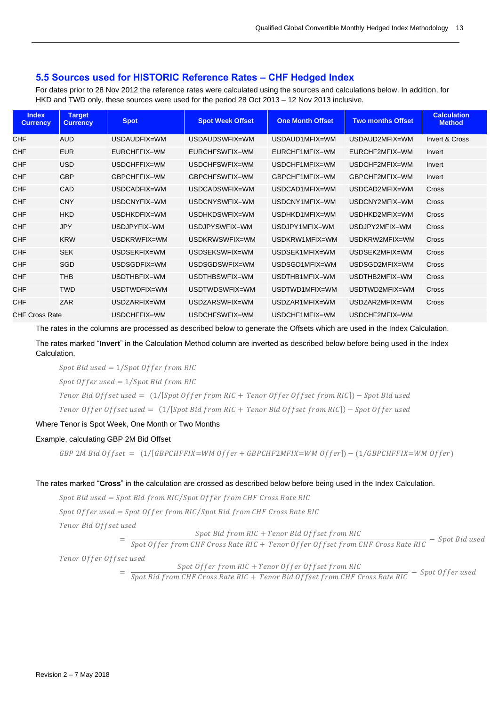#### <span id="page-12-0"></span>**5.5 Sources used for HISTORIC Reference Rates – CHF Hedged Index**

For dates prior to 28 Nov 2012 the reference rates were calculated using the sources and calculations below. In addition, for HKD and TWD only, these sources were used for the period 28 Oct 2013 – 12 Nov 2013 inclusive.

| <b>Index</b><br><b>Currency</b> | <b>Target</b><br><b>Currency</b> | <b>Spot</b>  | <b>Spot Week Offset</b> | <b>One Month Offset</b> | <b>Two months Offset</b> | <b>Calculation</b><br><b>Method</b> |
|---------------------------------|----------------------------------|--------------|-------------------------|-------------------------|--------------------------|-------------------------------------|
| <b>CHF</b>                      | <b>AUD</b>                       | USDAUDFIX=WM | USDAUDSWFIX=WM          | USDAUD1MFIX=WM          | USDAUD2MFIX=WM           | Invert & Cross                      |
| <b>CHF</b>                      | <b>EUR</b>                       | EURCHFFIX=WM | EURCHFSWFIX=WM          | EURCHF1MFIX=WM          | EURCHF2MFIX=WM           | Invert                              |
| CHF                             | <b>USD</b>                       | USDCHFFIX=WM | USDCHFSWFIX=WM          | USDCHF1MFIX=WM          | USDCHF2MFIX=WM           | Invert                              |
| <b>CHF</b>                      | <b>GBP</b>                       | GBPCHFFIX=WM | GBPCHFSWFIX=WM          | GBPCHF1MFIX=WM          | GBPCHF2MFIX=WM           | Invert                              |
| <b>CHF</b>                      | CAD                              | USDCADFIX=WM | USDCADSWFIX=WM          | USDCAD1MFIX=WM          | USDCAD2MFIX=WM           | Cross                               |
| <b>CHF</b>                      | <b>CNY</b>                       | USDCNYFIX=WM | USDCNYSWFIX=WM          | USDCNY1MFIX=WM          | USDCNY2MFIX=WM           | Cross                               |
| CHF                             | <b>HKD</b>                       | USDHKDFIX=WM | USDHKDSWFIX=WM          | USDHKD1MFIX=WM          | USDHKD2MFIX=WM           | Cross                               |
| <b>CHF</b>                      | <b>JPY</b>                       | USDJPYFIX=WM | USDJPYSWFIX=WM          | USDJPY1MFIX=WM          | USDJPY2MFIX=WM           | Cross                               |
| CHF                             | <b>KRW</b>                       | USDKRWFIX=WM | USDKRWSWFIX=WM          | USDKRW1MFIX=WM          | USDKRW2MFIX=WM           | Cross                               |
| <b>CHF</b>                      | <b>SEK</b>                       | USDSEKFIX=WM | USDSEKSWFIX=WM          | USDSEK1MFIX=WM          | USDSEK2MFIX=WM           | Cross                               |
| <b>CHF</b>                      | <b>SGD</b>                       | USDSGDFIX=WM | USDSGDSWFIX=WM          | USDSGD1MFIX=WM          | USDSGD2MFIX=WM           | Cross                               |
| <b>CHF</b>                      | <b>THB</b>                       | USDTHBFIX=WM | USDTHBSWFIX=WM          | USDTHB1MFIX=WM          | USDTHB2MFIX=WM           | Cross                               |
| <b>CHF</b>                      | <b>TWD</b>                       | USDTWDFIX=WM | USDTWDSWFIX=WM          | USDTWD1MFIX=WM          | USDTWD2MFIX=WM           | Cross                               |
| <b>CHF</b>                      | ZAR                              | USDZARFIX=WM | USDZARSWFIX=WM          | USDZAR1MFIX=WM          | USDZAR2MFIX=WM           | Cross                               |
| <b>CHF Cross Rate</b>           |                                  | USDCHFFIX=WM | USDCHFSWFIX=WM          | USDCHF1MFIX=WM          | USDCHF2MFIX=WM           |                                     |

The rates in the columns are processed as described below to generate the Offsets which are used in the Index Calculation.

The rates marked "**Invert**" in the Calculation Method column are inverted as described below before being used in the Index Calculation.

Spot Bid used  $= 1/S$ pot Offer from RIC

Spot Offer used =  $1/Spot$  Bid from RIC

Tenor Bid Offset used =  $(1/[Spot\;Of\;fer\;from\;RIC + Tenor\;Off\;er\;Off\;set\;from\;RIC]) - Spot\;Bid\;used$ 

Tenor Offer Offset used =  $(1/[Spot Bid from RIC + Tenor Bid Offset from RIC]) - Spot Offer used$ 

Where Tenor is Spot Week, One Month or Two Months

#### Example, calculating GBP 2M Bid Offset

 $GBP$  2M Bid Offset =  $(1/[GBPCHFFIX=WM$  Offer + GBPCHF2MFIX=WM Offer]) –  $(1/GBPCHFFIX=WM$  Offer)

#### The rates marked "**Cross**" in the calculation are crossed as described below before being used in the Index Calculation.

Spot Bid used = Spot Bid from RIC/Spot Offer from CHF Cross Rate RIC

Spot Offer used =  $Spot$  Offer from RIC/Spot Bid from CHF Cross Rate RIC

Tenor Bid Offset used

Spot Bid from RIC + Tenor Bid Offset from RIC

 $=$   $\frac{1}{\text{Spot }offer \text{ from }CHF \text{ Cross } Rate \text{ } RIC + \text{ Tensor } Offer \text{ } Offset \text{ from } CHF \text{ Cross } Rate \text{ } RIC} - \text{Spot } Bid \text{ used}$ 

Tenor Offer Offset used

Spot Offer from RIC + Tenor Offer Offset from RIC

 $=$   $\frac{1}{\text{Spot Bid from CHF Cross Rate RIC + Tensor Bid Offset from CHF Cross Rate RIC}} - \text{Spot Offer used}$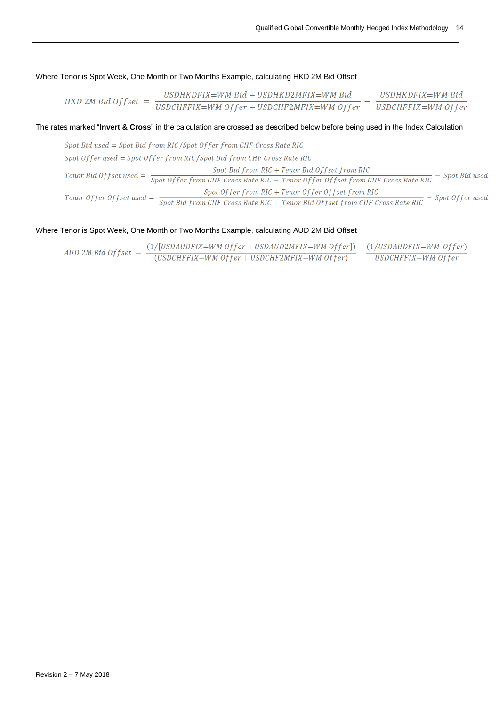Where Tenor is Spot Week, One Month or Two Months Example, calculating HKD 2M Bid Offset

\n
$$
\text{HKD 2M Bid Offset} = \frac{\text{USDHKDFIX} = \text{WM Bid} + \text{USDHKD2MFIX} = \text{WM Bid}}{\text{USDCHFFIX}} = \text{WM Offer} + \text{USDCHFTIX} = \text{WM Offer} - \frac{\text{USDHKDFIX}}{\text{USDCHFFIX}} = \text{WM Offer}
$$
\n

#### The rates marked "**Invert & Cross**" in the calculation are crossed as described below before being used in the Index Calculation

Spot Bid used = Spot Bid from RIC/Spot Offer from CHF Cross Rate RIC Spot Offer used = Spot Offer from RIC / Spot Bid from CHF Cross Rate RIC  $\emph{Tenor Bid Offset used} = \frac{\emph{Spot Bid from RIC} + \emph{Tenor Bid Offset from RIC}}{\emph{Spot Offer from CHF Cross Rate RIC} + \emph{Tenor Offer Offset from CHF Cross Rate RIC}} - \emph{Spot Bid used}$ 

#### Where Tenor is Spot Week, One Month or Two Months Example, calculating AUD 2M Bid Offset

*ADD 2M Bid Offset* = 
$$
\frac{(1/[USDAUDFIX=WM\;Offer+USDAUD2MFIX=WM\;Offer])}{(USDCHFFIX=WM\;Offer+USDCHF2MFIX=WM\;Offer)} - \frac{(1/USDAUDFIX=WM\;Offer)}{USDCHFFIX=WM\;Offer}
$$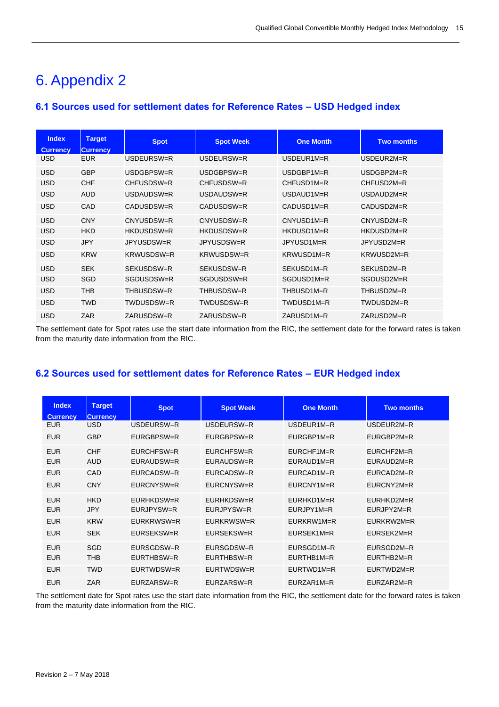# <span id="page-14-0"></span>6. Appendix 2

### <span id="page-14-1"></span>**6.1 Sources used for settlement dates for Reference Rates – USD Hedged index**

| <b>Index</b><br><b>Currency</b> | <b>Target</b><br><b>Currency</b> | <b>Spot</b> | <b>Spot Week</b> | <b>One Month</b>        | <b>Two months</b> |
|---------------------------------|----------------------------------|-------------|------------------|-------------------------|-------------------|
| <b>USD</b>                      | <b>EUR</b>                       | USDEURSW=R  | USDEURSW=R       | $USDEUR1M=R$            | USDEUR2M=R        |
| <b>USD</b>                      | <b>GBP</b>                       | USDGBPSW=R  | USDGBPSW=R       | USDGBP1M=R              | USDGBP2M=R        |
| <b>USD</b>                      | <b>CHF</b>                       | CHFUSDSW=R  | CHFUSDSW=R       | CHFUSD <sub>1</sub> M=R | CHFUSD2M=R        |
| <b>USD</b>                      | <b>AUD</b>                       | USDAUDSW=R  | USDAUDSW=R       | USDAUD1M=R              | USDAUD2M=R        |
| <b>USD</b>                      | CAD                              | CADUSDSW=R  | CADUSDSW=R       | CADUSD <sub>1</sub> M=R | CADUSD2M=R        |
| <b>USD</b>                      | <b>CNY</b>                       | CNYUSDSW=R  | CNYUSDSW=R       | CNYUSD1M=R              | CNYUSD2M=R        |
| <b>USD</b>                      | <b>HKD</b>                       | HKDUSDSW=R  | HKDUSDSW=R       | HKDUSD1M=R              | HKDUSD2M=R        |
| <b>USD</b>                      | <b>JPY</b>                       | JPYUSDSW=R  | JPYUSDSW=R       | JPYUSD1M=R              | JPYUSD2M=R        |
| <b>USD</b>                      | <b>KRW</b>                       | KRWUSDSW=R  | KRWUSDSW=R       | KRWUSD1M=R              | KRWUSD2M=R        |
| <b>USD</b>                      | <b>SEK</b>                       | SEKUSDSW=R  | SEKUSDSW=R       | SEKUSD1M=R              | SEKUSD2M=R        |
| <b>USD</b>                      | <b>SGD</b>                       | SGDUSDSW=R  | SGDUSDSW=R       | SGDUSD1M=R              | SGDUSD2M=R        |
| <b>USD</b>                      | <b>THB</b>                       | THBUSDSW=R  | THBUSDSW=R       | THBUSD1M=R              | THBUSD2M=R        |
| <b>USD</b>                      | <b>TWD</b>                       | TWDUSDSW=R  | TWDUSDSW=R       | TWDUSD1M=R              | TWDUSD2M=R        |
| <b>USD</b>                      | ZAR                              | ZARUSDSW=R  | ZARUSDSW=R       | ZARUSD1M=R              | ZARUSD2M=R        |

The settlement date for Spot rates use the start date information from the RIC, the settlement date for the forward rates is taken from the maturity date information from the RIC.

### <span id="page-14-2"></span>**6.2 Sources used for settlement dates for Reference Rates – EUR Hedged index**

| <b>Index</b><br><b>Currency</b> | <b>Target</b><br><b>Currency</b> | <b>Spot</b> | <b>Spot Week</b> | <b>One Month</b> | <b>Two months</b> |
|---------------------------------|----------------------------------|-------------|------------------|------------------|-------------------|
| <b>EUR</b>                      | USD                              | USDEURSW=R  | USDEURSW=R       | $USDEUR1M = R$   | USDEUR2M=R        |
| <b>EUR</b>                      | <b>GBP</b>                       | EURGBPSW=R  | EURGBPSW=R       | EURGBP1M=R       | EURGBP2M=R        |
| <b>EUR</b>                      | <b>CHF</b>                       | EURCHFSW=R  | EURCHFSW=R       | $EURCHF1M=R$     | $EURCHF2M=R$      |
| <b>EUR</b>                      | <b>AUD</b>                       | EURAUDSW=R  | EURAUDSW=R       | $EURAUD1M=R$     | EURAUD2M=R        |
| <b>EUR</b>                      | <b>CAD</b>                       | EURCADSW=R  | EURCADSW=R       | $EURCAD1M=R$     | EURCAD2M=R        |
| <b>EUR</b>                      | <b>CNY</b>                       | EURCNYSW=R  | EURCNYSW=R       | EURCNY1M=R       | EURCNY2M=R        |
| <b>EUR</b>                      | <b>HKD</b>                       | EURHKDSW=R  | EURHKDSW=R       | $EURHKD1M=R$     | EURHKD2M=R        |
| <b>EUR</b>                      | <b>JPY</b>                       | EURJPYSW=R  | EURJPYSW=R       | EURJPY1M=R       | EURJPY2M=R        |
| <b>EUR</b>                      | <b>KRW</b>                       | EURKRWSW=R  | EURKRWSW=R       | EURKRW1M=R       | EURKRW2M=R        |
| <b>EUR</b>                      | <b>SEK</b>                       | EURSEKSW=R  | EURSEKSW=R       | EURSEK1M=R       | EURSEK2M=R        |
| <b>EUR</b>                      | SGD                              | EURSGDSW=R  | EURSGDSW=R       | EURSGD1M=R       | EURSGD2M=R        |
| <b>EUR</b>                      | THB                              | EURTHBSW=R  | EURTHBSW=R       | EURTHB1M=R       | EURTHB2M=R        |
| <b>EUR</b>                      | <b>TWD</b>                       | EURTWDSW=R  | EURTWDSW=R       | EURTWD1M=R       | EURTWD2M=R        |
| <b>EUR</b>                      | ZAR                              | EURZARSW=R  | EURZARSW=R       | EURZAR1M=R       | EURZAR2M=R        |

The settlement date for Spot rates use the start date information from the RIC, the settlement date for the forward rates is taken from the maturity date information from the RIC.